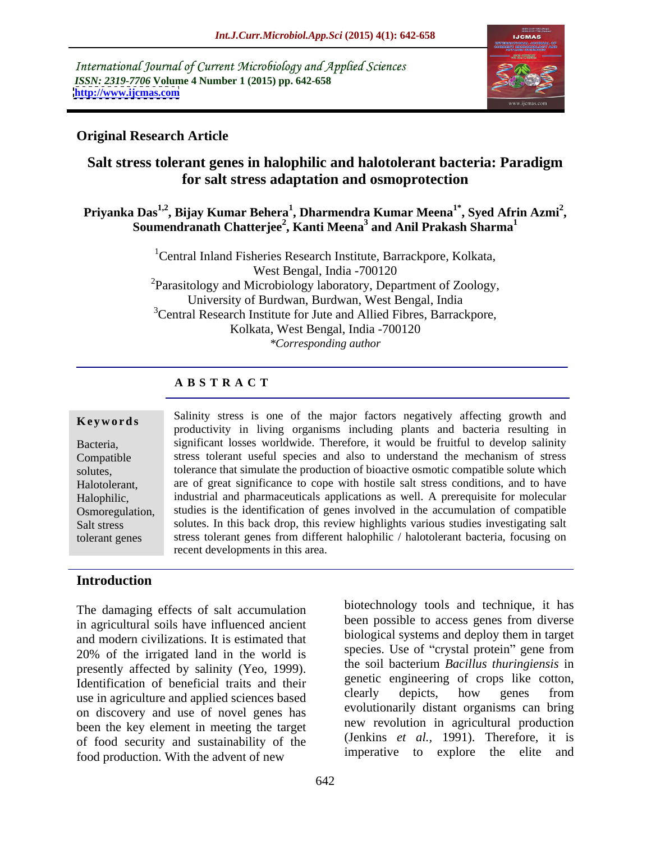International Journal of Current Microbiology and Applied Sciences *ISSN: 2319-7706* **Volume 4 Number 1 (2015) pp. 642-658 <http://www.ijcmas.com>**



## **Original Research Article**

## **Salt stress tolerant genes in halophilic and halotolerant bacteria: Paradigm for salt stress adaptation and osmoprotection**

### Priyanka Das<sup>1,2</sup>, Bijay Kumar Behera<sup>1</sup>, Dharmendra Kumar Meena<sup>1\*</sup>, Syed Afrin Azmi<sup>2</sup>, **, Syed Afrin Azmi<sup>2</sup>** <sup>1</sup> Das<sup>1,2</sup>, Bijay Kumar Behera<sup>1</sup>, Dharmendra Kumar Meena<sup>1</sup>˚, Syed Afrin Azmi<sup>2</sup>, Summendranath Chatterjee<sup>2</sup>, Kanti Meena<sup>3</sup> and Anil Prakash Sharma<sup>1</sup>

<sup>1</sup>Central Inland Fisheries Research Institute, Barrackpore, Kolkata, West Bengal, India -700120  ${}^{2}$ Parasitology and Microbiology laboratory, Department of Zoology, University of Burdwan, Burdwan, West Bengal, India <sup>3</sup>Central Research Institute for Jute and Allied Fibres, Barrackpore, Kolkata, West Bengal, India -700120 *\*Corresponding author*

## **A B S T R A C T**

tolerant genes

**Keywords** Salinity stress is one of the major factors negatively affecting growth and productivity in living organisms including plants and bacteria resulting in significant losses worldwide. Therefore, it would be fruitful to develop salinity Bacteria, stress tolerant useful species and also to understand the mechanism of stress Compatible solutes, tolerance that simulate the production of bioactive osmotic compatible solute which Halotolerant, are of great significance to cope with hostile salt stress conditions, and to have Halophilic, industrial and pharmaceuticals applications as well. A prerequisite for molecular Osmoregulation, studies is the identification of genes involved in the accumulation of compatible Salt stress solutes. In this back drop, this review highlights various studies investigating salt stress tolerant genes from different halophilic / halotolerant bacteria, focusing on recent developments in this area.

## **Introduction**

The damaging effects of salt accumulation in agricultural soils have influenced ancient and modern civilizations. It is estimated that biological systems and deploy them in target<br>200% of the irritiated land in the world is species. Use of "crystal protein" gene from 20% of the irrigated land in the world is presently affected by salinity (Yeo, 1999). Identification of beneficial traits and their<br>use in arrival turn and applied sciences based clearly depicts, how genes from use in agriculture and applied sciences based on discovery and use of novel genes has been the key element in meeting the target of food security and sustainability of the food production. With the advent of new

been possible to access genes from diverse biological systems and deploy them in target species. Use of "crystal protein" gene from the soil bacterium *Bacillus thuringiensis* in genetic engineering of crops like cotton, clearly depicts, how genes from evolutionarily distant organisms can bring new revolution in agricultural production (Jenkins *et al.,* 1991). Therefore, it is imperative to explore the elite and

biotechnology tools and technique, it has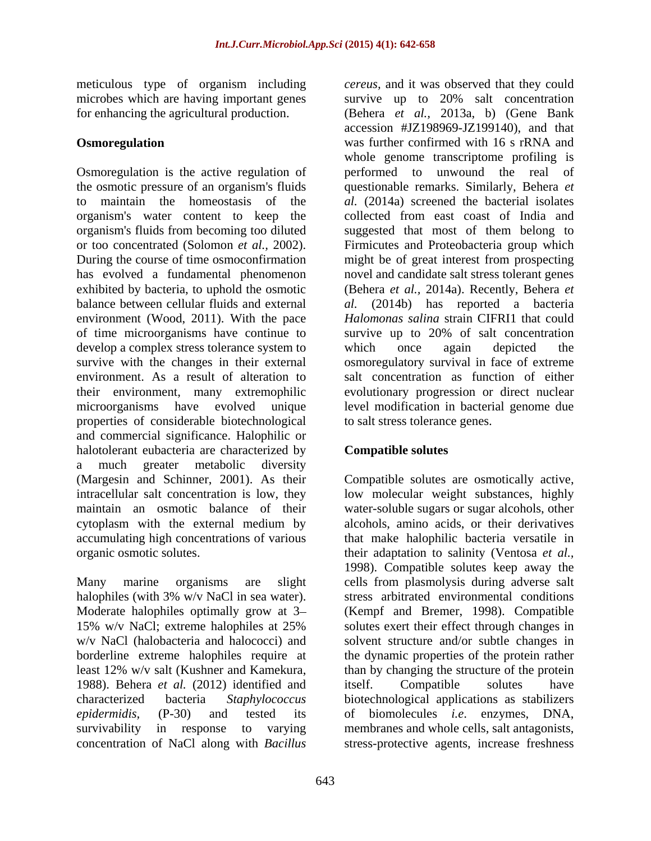meticulous type of organism including

has evolved a fundamental phenomenon environment (Wood, 2011). With the pace of time microorganisms have continue to survive up to 20% of salt concentration develop a complex stress tolerance system to which once again depicted the properties of considerable biotechnological and commercial significance. Halophilic or halotolerant eubacteria are characterized by **Compatible solutes** a much greater metabolic diversity (Margesin and Schinner, 2001). As their Compatible solutes are osmotically active, intracellular salt concentration is low, they low molecular weight substances, highly maintain an osmotic balance of their water-soluble sugars or sugar alcohols, other cytoplasm with the external medium by alcohols, amino acids, or their derivatives accumulating high concentrations of various that make halophilic bacteria versatile in

Many marine organisms are slight cells from plasmolysis during adverse salt halophiles (with 3% w/v NaCl in sea water). Stress arbitrated environmental conditions Moderate halophiles optimally grow at 3 (Kempf and Bremer, 1998). Compatible 15% w/v NaCl; extreme halophiles at 25% solutes exert their effect through changes in w/v NaCl (halobacteria and halococci) and solvent structure and/or subtle changes in borderline extreme halophiles require at the dynamic properties of the protein rather least 12% w/v salt (Kushner and Kamekura, than by changing the structure of the protein 1988). Behera *et al.* (2012) identified and characterized bacteria *Staphylococcus* biotechnological applications as stabilizers *epidermidis,* (P-30) and tested its of biomolecules *i.e*. enzymes, DNA, survivability in response to varying membranes and whole cells, salt antagonists, concentration of NaCl along with *Bacillus*  stress-protective agents, increase freshness

microbes which are having important genes survive up to 20% salt concentration for enhancing the agricultural production. (Behera *et al.,* 2013a, b) (Gene Bank **Osmoregulation** was further confirmed with 16 s rRNA and Osmoregulation is the active regulation of performed to unwound the real of the osmotic pressure of an organism's fluids questionable remarks. Similarly, Behera *et*  to maintain the homeostasis of the *al.* (2014a) screened the bacterial isolates organism's water content to keep the collected from east coast of India and organism's fluids from becoming too diluted suggested that most of them belong to or too concentrated (Solomon *et al.,* 2002). Firmicutes and Proteobacteria group which During the course of time osmoconfirmation might be of great interest from prospecting exhibited by bacteria, to uphold the osmotic (Behera *et al.,* 2014a). Recently, Behera *et*  balance between cellular fluids and external *al.* (2014b) has reported a bacteria survive with the changes in their external osmoregulatory survival in face of extreme environment. As a result of alteration to salt concentration as function of either their environment, many extremophilic evolutionary progression or direct nuclear microorganisms have evolved unique level modification in bacterial genome due *cereus,* and it was observed that they could accession #JZ198969-JZ199140), and that was further confirmed with 16 s rRNA and whole genome transcriptome profiling is novel and candidate salt stress tolerant genes *Halomonas salina* strain CIFRI1 that could survive up to 20% of salt concentration which once again depicted the to salt stress tolerance genes.

## **Compatible solutes**

organic osmotic solutes. their adaptation to salinity (Ventosa *et al.,* alcohols, amino acids, or their derivatives 1998). Compatible solutes keep away the stress arbitrated environmental conditions solutes exert their effect through changes in itself. Compatible solutes have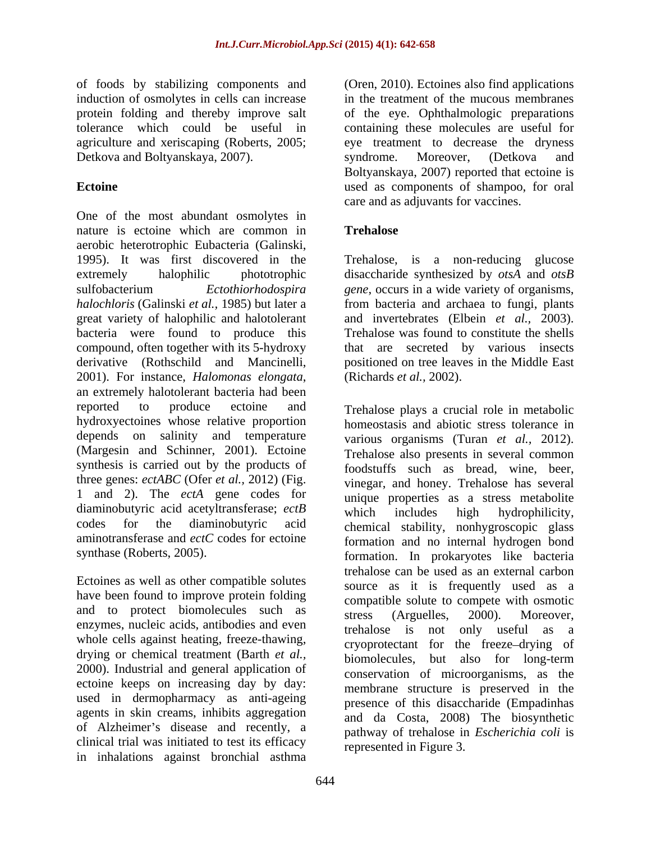of foods by stabilizing components and (Oren, 2010). Ectoines also find applications induction of osmolytes in cells can increase protein folding and thereby improve salt of the eye. Ophthalmologic preparations tolerance which could be useful in containing these molecules are useful for agriculture and xeriscaping (Roberts, 2005; eye treatment to decrease the dryness Detkova and Boltyanskaya, 2007). Syndrome. Moreover, (Detkova and

One of the most abundant osmolytes in nature is ectoine which are common in **Trehalose** aerobic heterotrophic Eubacteria (Galinski, 1995). It was first discovered in the Trehalose, is a non-reducing glucose extremely halophilic phototrophic disaccharide synthesized by *otsA* and *otsB*  sulfobacterium *Ectothiorhodospira gene*, occurs in a wide variety of organisms, *halochloris* (Galinski *et al.,* 1985) but later a from bacteria and archaea to fungi, plants great variety of halophilic and halotolerant bacteria were found to produce this compound, often together with its 5-hydroxy that are secreted by various insects derivative (Rothschild and Mancinelli, positioned on tree leaves in the Middle East 2001). For instance, *Halomonas elongata*, (Richards *et al.*, 2002).<br>an extremely halotolerant bacteria had been reported to produce ectoine and Trehalose plays a crucial role in metabolic hydroxyectoines whose relative proportion depends on salinity and temperature (Margesin and Schinner, 2001). Ectoine synthesis is carried out by the products of three genes: *ectABC* (Ofer *et al.,* 2012) (Fig. 1 and 2). The *ectA* gene codes for diaminobutyric acid acetyltransferase; *ectB* which includes high hydrophilicity, aminotransferase and *ectC* codes for ectoine

Ectoines as well as other compatible solutes have been found to improve protein folding and to protect biomolecules such as the stress (Arguelles, 2000). Moreover, enzymes, nucleic acids, antibodies and even<br>trehalose is not only useful as a whole cells against heating, freeze-thawing, drying or chemical treatment (Barth *et al.,*2000). Industrial and general application of ectoine keeps on increasing day by day: used in dermopharmacy as anti-ageing agents in skin creams, inhibits aggregation of Alzheimer's disease and recently, a clinical trial was initiated to test its efficacy in inhalations against bronchial asthma

**Ectoine Exercise 2.1 and SEC 2.1 and SEC 2.1 and SEC 2.1 and SEC 3.1 and SEC 3.1 and SEC 3.1 and SEC 3.1 and SEC 3.1 and SEC 3.1 and SEC 3.1 and SEC 3.1 and SEC 3.1 and SEC 3.1 and SEC 3.1 and SEC 3.1 and SEC 3.1 and SE** in the treatment of the mucous membranes syndrome. Moreover, (Detkova and Boltyanskaya, 2007) reported that ectoine is care and as adjuvants for vaccines.

## **Trehalose**

and invertebrates (Elbein *et al.,* 2003). Trehalose was found to constitute the shells positioned on tree leaves in the Middle East (Richards *et al.,* 2002).

codes for the diaminobutyric acid chemical stability, nonhygroscopic glass synthase (Roberts, 2005). **formation**. In prokaryotes like bacteria homeostasis and abiotic stress tolerance in various organisms (Turan *et al.,* 2012). Trehalose also presents in several common foodstuffs such as bread, wine, beer, vinegar, and honey. Trehalose has several unique properties as a stress metabolite which includes high hydrophilicity, formation and no internal hydrogen bond trehalose can be used as an external carbon source as it is frequently used as a compatible solute to compete with osmotic stress (Arguelles, 2000). Moreover, trehalose is not only useful as a cryoprotectant for the freeze drying of biomolecules, but also for long-term conservation of microorganisms, as the membrane structure is preserved in the presence of this disaccharide (Empadinhas and da Costa, 2008) The biosynthetic pathway of trehalose in *Escherichia coli* is represented in Figure 3.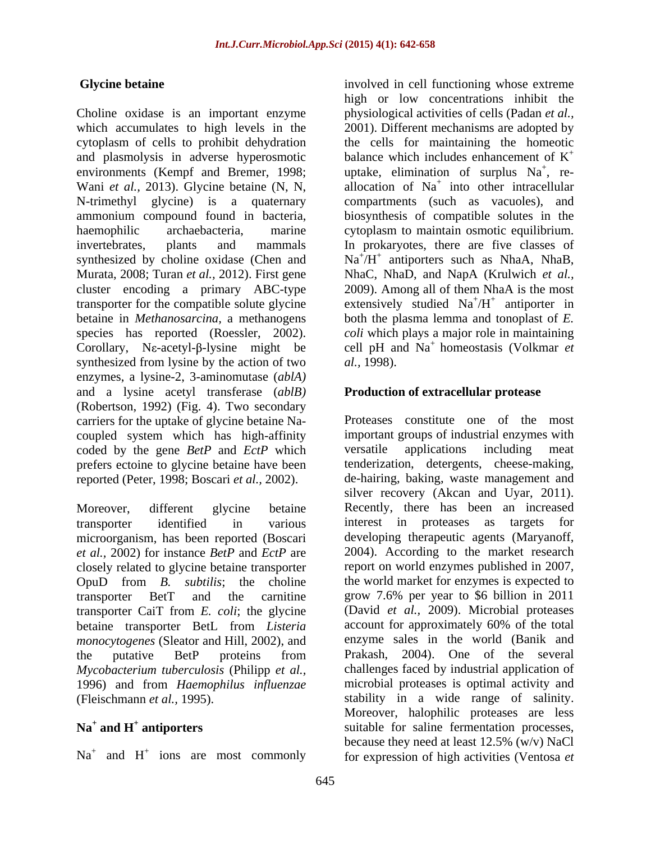and plasmolysis in adverse hyperosmotic environments (Kempf and Bremer, 1998; uptake, elimination of surplus Na<sup>+</sup>, re-Murata, 2008; Turan *et al.,* 2012). First gene synthesized from lysine by the action of two al., 1998). enzymes, a lysine-2, 3-aminomutase (*ablA)* and a lysine acetyl transferase (*ablB)* (Robertson, 1992) (Fig. 4). Two secondary coupled system which has high-affinity coded by the gene *BetP* and *EctP* which prefers ectoine to glycine betaine have been reported (Peter, 1998; Boscari *et al.,* 2002).

microorganism, has been reported (Boscari *et al.,* 2002) for instance *BetP* and *EctP* are closely related to glycine betaine transporter transporter CaiT from *E. coli*; the glycine *monocytogenes* (Sleator and Hill, 2002), and enzyme some proteins from Prakash, *Mycobacterium tuberculosis* (Philipp *et al.,* 1996) and from *Haemophilus influenzae*

 $Na<sup>+</sup>$  and  $H<sup>+</sup>$  ions are most commonly

**Glycine betaine involved** in cell functioning whose extreme Choline oxidase is an important enzyme physiological activities of cells (Padan *et al.,* which accumulates to high levels in the 2001). Different mechanisms are adopted by cytoplasm of cells to prohibit dehydration the cells for maintaining the homeotic Wani *et al.*, 2013). Glycine betaine (N, N, allocation of Na<sup>+</sup> into other intracellular N-trimethyl glycine) is a quaternary compartments (such as vacuoles), and ammonium compound found in bacteria, biosynthesis of compatible solutes in the haemophilic archaebacteria, marine cytoplasm to maintain osmotic equilibrium. invertebrates, plants and mammals In prokaryotes, there are five classes of synthesized by choline oxidase (Chen and  $Na^{+}/H^{+}$  antiporters such as NhaA, NhaB, cluster encoding a primary ABC-type 2009). Among all of them NhaA is the most transporter for the compatible solute glycine extensively studied  $Na^{+}/H^{+}$  antiporter in betaine in *Methanosarcina,* a methanogens both the plasma lemma and tonoplast of *E.*  species has reported (Roessler, 2002). *coli* which plays a major role in maintaining Corollary, Ne-acetyl- $\beta$ -lysine might be cell pH and Na<sup>+</sup> homeostasis (Volkmar *et* high or low concentrations inhibit the balance which includes enhancement of  $K^+$ balance which includes enhancement of  $K^+$ <br>uptake, elimination of surplus  $Na^+$ , re-, re- NhaC, NhaD, and NapA (Krulwich *et al.,*  $/H^+$  antiporter in antiporter in *al.,* 1998).

## **Production of extracellular protease**

carriers for the uptake of glycine betaine Na- Proteases constitute one of the most Moreover, different glycine betaine Recently, there has been an increased transporter identified in various OpuD from *B. subtilis*; the choline the world market for enzymes is expected to transporter BetT and the carnitine grow 7.6% per year to \$6 billion in 2011 betaine transporter BetL from *Listeria*  account for approximately 60% of the total the putative BetP proteins from Prakash, 2004). One of the several (Fleischmann *et al.,* 1995). stability in a wide range of salinity. Na<sup>+</sup> and H<sup>+</sup> antiporters suitable for saline fermentation processes, and  $H^+$  ions are most commonly for expression of high activities (Ventosa *et* important groups of industrial enzymes with versatile applications including meat tenderization, detergents, cheese-making, de-hairing, baking, waste management and silver recovery (Akcan and Uyar, 2011). interest in proteases as targets for developing therapeutic agents (Maryanoff, 2004). According to the market research report on world enzymes published in 2007, (David *et al.,* 2009). Microbial proteases enzyme sales in the world (Banik and 2004). One of the several challenges faced by industrial application of microbial proteases is optimal activity and Moreover, halophilic proteases are less because they need at least 12.5% (w/v) NaCl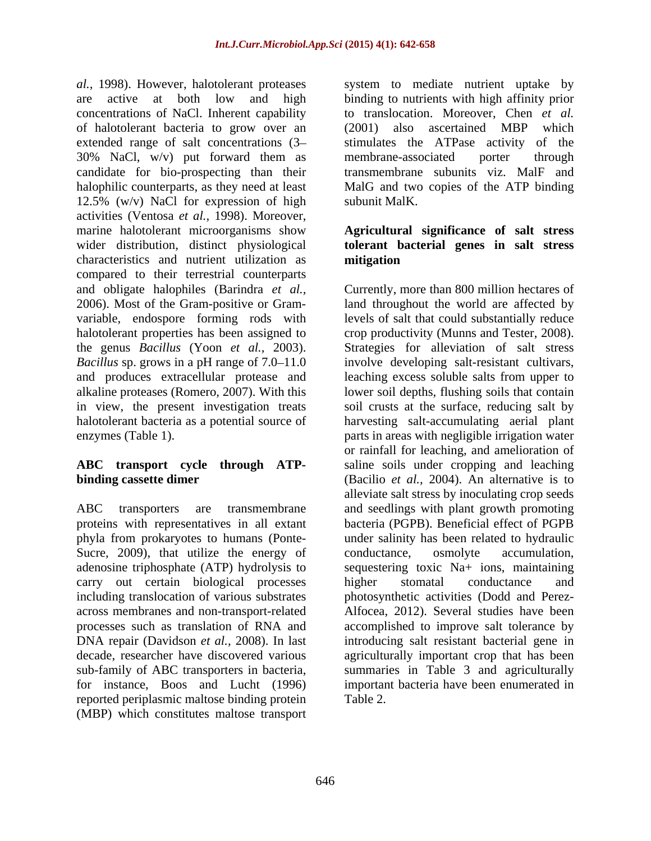*al.,* 1998). However, halotolerant proteases system to mediate nutrient uptake by are active at both low and high binding to nutrients with high affinity prior concentrations of NaCl. Inherent capability to translocation. Moreover, Chen *et al.* of halotolerant bacteria to grow over an extended range of salt concentrations (3– stimulates the ATPase activity of the 30% NaCl, w/v) put forward them as candidate for bio-prospecting than their transmembrane subunits viz. MalF and halophilic counterparts, as they need at least MalG and two copies of the ATP binding 12.5% (w/v) NaCl for expression of high subunit MalK. activities (Ventosa *et al.,* 1998). Moreover, marine halotolerant microorganisms show **Agricultural significance of salt stress** wider distribution, distinct physiological **tolerant bacterial genes in salt stress** characteristics and nutrient utilization as compared to their terrestrial counterparts and obligate halophiles (Barindra *et al.,* 2006). Most of the Gram-positive or Gram-

Sucre, 2009), that utilize the energy of conductance, osmolyte accumulation, adenosine triphosphate (ATP) hydrolysis to carry out certain biological processes bigher stomatal conductance and across membranes and non-transport-related sub-family of ABC transporters in bacteria, for instance, Boos and Lucht (1996) reported periplasmic maltose binding protein (MBP) which constitutes maltose transport

(2001) also ascertained MBP which membrane-associated porter through subunit MalK.

# **mitigation**

variable, endospore forming rods with levels of salt that could substantially reduce halotolerant properties has been assigned to crop productivity (Munns and Tester, 2008). the genus *Bacillus* (Yoon *et al.,* 2003). Strategies for alleviation of salt stress *Bacillus* sp. grows in a pH range of 7.0–11.0 involve developing salt-resistant cultivars, and produces extracellular protease and leaching excess soluble salts from upper to alkaline proteases (Romero, 2007). With this lower soil depths, flushing soils that contain in view, the present investigation treats soil crusts at the surface, reducing salt by halotolerant bacteria as a potential source of harvesting salt-accumulating aerial plant enzymes (Table 1). parts in areas with negligible irrigation water **ABC transport cycle through ATP-** saline soils under cropping and leaching **binding cassette dimer** (Bacilio *et al.,* 2004). An alternative is to ABC transporters are transmembrane and seedlings with plant growth promoting proteins with representatives in all extant bacteria (PGPB). Beneficial effect of PGPB phyla from prokaryotes to humans (Ponte- under salinity has been related to hydraulic including translocation of various substrates photosynthetic activities (Dodd and Perez processes such as translation of RNA and accomplished to improve salt tolerance by DNA repair (Davidson *et al.,* 2008). In last introducing salt resistant bacterial gene in decade, researcher have discovered various agriculturally important crop that has been Currently, more than 800 million hectares of land throughout the world are affected by or rainfall for leaching, and amelioration of alleviate salt stress by inoculating crop seeds conductance, osmolyte accumulation, sequestering toxic Na+ ions, maintaining higher stomatal conductance and Alfocea, 2012). Several studies have been summaries in Table 3 and agriculturally important bacteria have been enumerated in Table 2.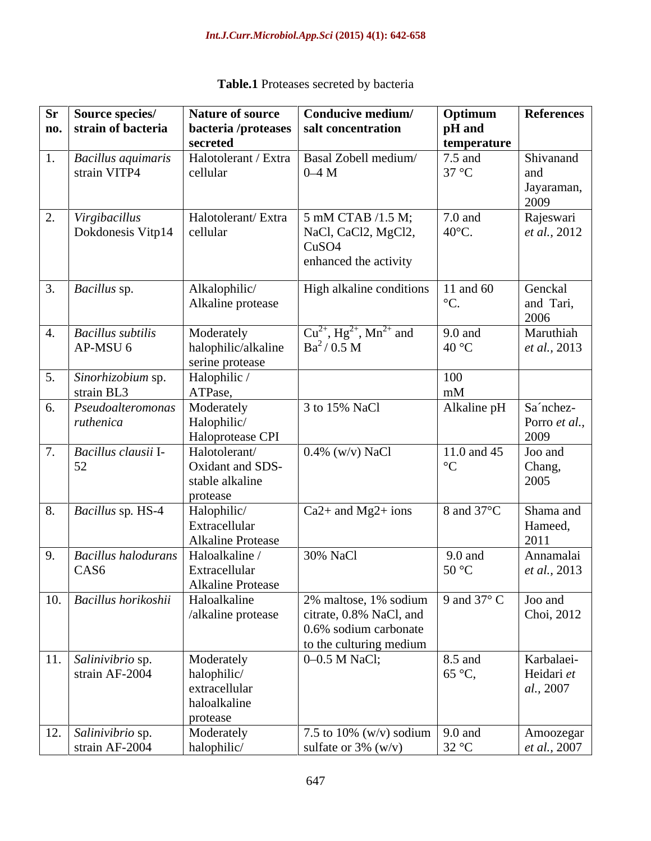| Sr Source species/                        | <b>Nature of source</b>                    | Conducive medium/                                      | Optimum                     | References                        |
|-------------------------------------------|--------------------------------------------|--------------------------------------------------------|-----------------------------|-----------------------------------|
| no. strain of bacteria                    |                                            | bacteria /proteases   salt concentration               | <b>pH</b> and               |                                   |
|                                           | secreted                                   |                                                        | temperature                 |                                   |
| <b>Bacillus</b> aquimaris<br>strain VITP4 | cellular                                   | Halotolerant / Extra   Basal Zobell medium/<br>$0-4$ M | $7.5$ and<br>$37^{\circ}$ C | Shivanand                         |
|                                           |                                            |                                                        |                             | and<br>Jayaraman,                 |
|                                           |                                            |                                                        |                             | 2009                              |
| Virgibacillus                             | Halotolerant/Extra                         | $5$ mM CTAB $/1.5$ M;                                  | 7.0 and                     | Rajeswari                         |
| $\log$ Dokdonesis Vitp14 $\log$ cellular  |                                            | NaCl, CaCl2, MgCl2,                                    | $40^{\circ}$ C.             | <i>et al.</i> , 2012              |
|                                           |                                            | CuSO4                                                  |                             |                                   |
|                                           |                                            | enhanced the activity                                  |                             |                                   |
| <i>Bacillus sp.</i>                       | Alkalophilic/                              | High alkaline conditions                               | 11 and 60                   | Genckal                           |
|                                           | Alkaline protease                          |                                                        |                             | and Tari,                         |
|                                           |                                            |                                                        |                             | 2006                              |
| <b>Bacillus</b> subtilis                  | Moderately                                 | $Cu^{2+}$ , Hg <sup>2+</sup> , Mn <sup>2+</sup> and    | 9.0 and                     | Maruthiah                         |
| $AP-MSU$ 6                                | halophilic/alkaline                        | $Ba^2/0.5 M$                                           | $40^{\circ}$ C              | et al., 2013                      |
|                                           | serine protease                            |                                                        |                             |                                   |
| $\sqrt{\textit{Sinorhizobium}}$ sp.       | Halophilic /                               |                                                        | 100                         |                                   |
| strain BL3                                | ATPase,                                    |                                                        | mM                          |                                   |
| Pseudodteromonas<br>ruthenica             | Moderately<br>Halophilic/                  | 3 to 15% NaCl                                          | Alkaline pH                 | Sa'nchez-                         |
|                                           | Haloprotease CPI                           |                                                        |                             | Porro et al.,<br>2009             |
| Bacillus clausii I-                       | Halotolerant/                              | $0.4\%$ (w/v) NaCl                                     | 11.0 and 45                 | Joo and                           |
| 52                                        | Oxidant and SDS-                           |                                                        | $^{\circ}C$                 | Chang,                            |
|                                           | stable alkaline                            |                                                        |                             | 2005                              |
|                                           | protease                                   |                                                        |                             |                                   |
| <i>Bacillus sp. HS-4</i>                  | Halophilic/                                | $Ca2+$ and Mg2+ ions                                   | 8 and $37^{\circ}$ C        | Shama and                         |
|                                           | Extracellular                              |                                                        |                             | Hameed,                           |
|                                           | <b>Alkaline Protease</b>                   |                                                        |                             | 2011                              |
| Bacillus haloduran.<br>CAS <sub>6</sub>   | Haloalkaline<br>Extracellular              | 30% NaCl                                               | 9.0 and<br>$50^{\circ}$ C   | Annamalai<br><i>et al.</i> , 2013 |
|                                           | Alkaline Protease                          |                                                        |                             |                                   |
| 10. Bacillus horikoshii                   | Haloalkaline                               | 2% maltose, 1% sodium 9 and 37 $^{\circ}$ C            |                             | Joo and                           |
|                                           | /alkaline protease                         | citrate, 0.8% NaCl, and                                |                             | Choi, 2012                        |
|                                           |                                            | 0.6% sodium carbonate                                  |                             |                                   |
|                                           |                                            | to the culturing medium                                |                             |                                   |
| . Salinivibrio sp.                        |                                            | $\vert$ 0–0.5 M NaCl;                                  | 8.5 and                     | Karbalaei-                        |
| strain AF-2004                            | Moderately<br>halophilic/<br>extracellular |                                                        | $65^{\circ}C$ ,             | Heidari et                        |
|                                           |                                            |                                                        |                             | al., 2007                         |
|                                           | haloalkaline                               |                                                        |                             |                                   |
| 12. Salinivibrio sp.                      | protease<br>Moderately                     | 7.5 to 10% (w/v) sodium 9.0 and                        |                             | Amoozegar                         |
| strain AF-2004                            | halophilic/                                | sulfate or $3\%$ (w/v)                                 | 32 °C                       | <i>et al.</i> , 2007              |

**Table.1** Proteases secreted by bacteria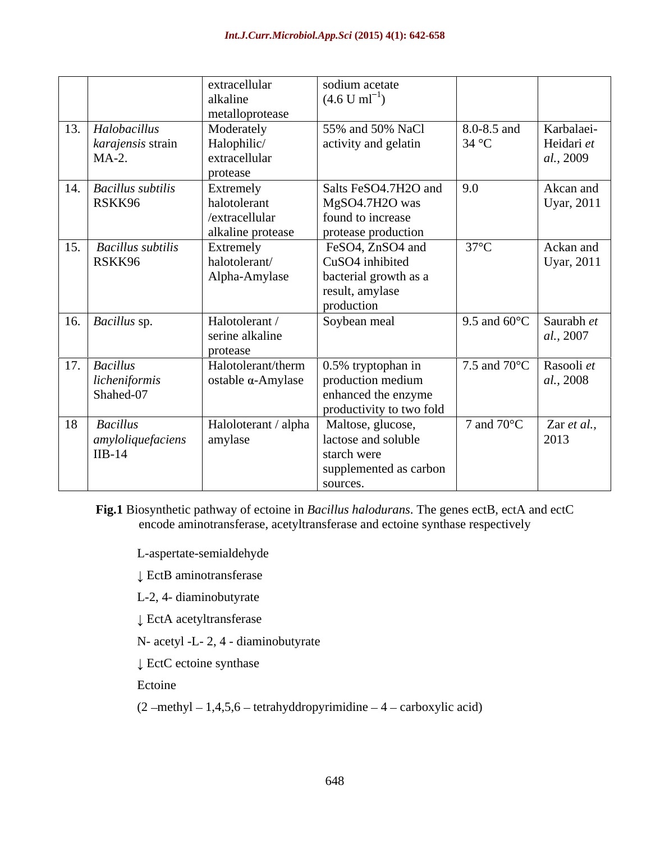|                                                        | extracellular<br>alkaline<br>metalloprotease                     | sodium acetate<br>$(4.6 \text{ U ml}^{-1})$                                                        |                      |                                                         |
|--------------------------------------------------------|------------------------------------------------------------------|----------------------------------------------------------------------------------------------------|----------------------|---------------------------------------------------------|
| 13.<br>Halobacillus<br>karajensis strain<br>$MA-2.$    | Moderately<br>Halophilic/<br>extracellular<br>protease           | 55% and 50% NaCl<br>activity and gelatin                                                           | 8.0-8.5 and<br>34 °C | Karbalaei-<br>Heidari et<br><i>al.</i> , 2009           |
| 14.<br><b>Bacillus subtilis</b><br>RSKK96              | Extremely<br>halotolerant<br>/extracellular<br>alkaline protease | Salts FeSO4.7H2O and<br>MgSO4.7H2O was<br>found to increase<br>protease production                 | 9.0                  | Akcan and<br>Uyar, 2011                                 |
| 15.<br><b>Bacillus subtilis</b><br>RSKK96              | Extremely<br>halotolerant/<br>Alpha-Amylase                      | FeSO4, ZnSO4 and<br>CuSO4 inhibited<br>bacterial growth as a<br>result, amylase<br>production      | $37^{\circ}$ C       | Ackan and<br>Uyar, 2011                                 |
| $\sqrt{16}$ <i>Bacillus</i> sp.                        | Halotolerant /<br>serine alkaline<br>protease                    | Soybean meal                                                                                       |                      | 9.5 and 60 $\degree$ C Saurabh <i>et</i><br>al., 2007   |
| 17.<br><b>Bacillus</b><br>licheniformis<br>Shahed-07   | Halotolerant/therm<br>$\alpha$ -Amylase                          | $\vert$ 0.5% tryptophan in<br>production medium<br>enhanced the enzyme<br>productivity to two fold |                      | 7.5 and 70 $\degree$ C   Rasooli <i>et</i><br>al., 2008 |
| <b>Bacillus</b><br>18<br>amyloliquefaciens<br>$IIB-14$ | Haloloterant / alpha<br>amylase                                  | Maltose, glucose,<br>lactose and soluble<br>starch were<br>supplemented as carbon<br>sources.      | 7 and $70^{\circ}$ C | Zar et al.,<br>2013                                     |

**Fig.1** Biosynthetic pathway of ectoine in *Bacillus halodurans*. The genes ectB, ectA and ectC encode aminotransferase, acetyltransferase and ectoine synthase respectively

L-aspertate-semialdehyde

EctB aminotransferase

L-2, 4- diaminobutyrate

EctA acetyltransferase

N- acetyl -L- 2, 4 - diaminobutyrate

EctC ectoine synthase

Ectoine **Executive Executive Executive Executive Executive Executive Executive Executive Executive Executive Executive Executive Executive Executive Executive Executive Executive Executive Executive Executive Executive Exe** 

 $(2 - \text{methyl} - 1,4,5,6 - \text{tetrahyddropyrimidine} - 4 - \text{carboxylic acid})$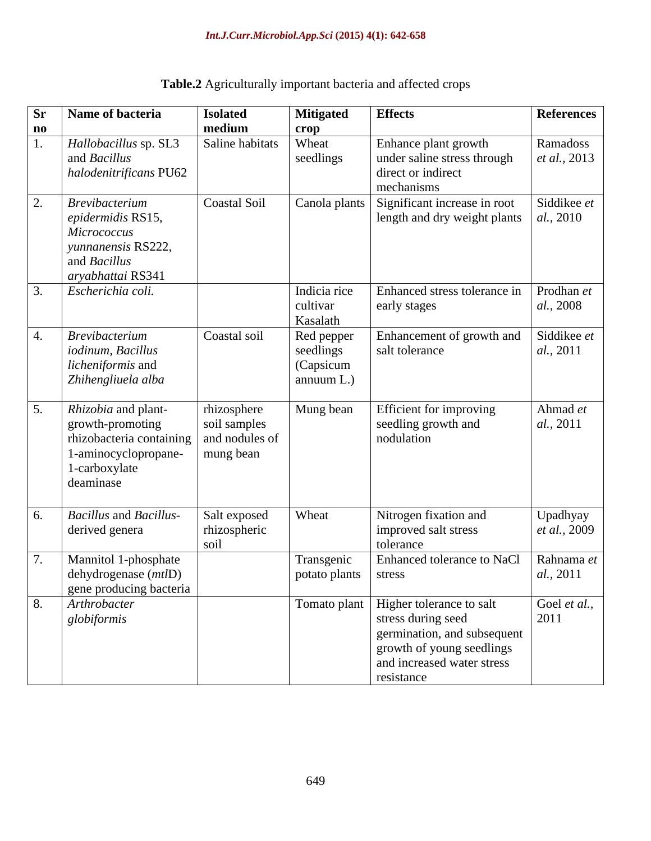| Table.<br><b>e.2</b> Agriculturally in<br><i>I</i> important bacteria and<br>affected crops |  |
|---------------------------------------------------------------------------------------------|--|
|---------------------------------------------------------------------------------------------|--|

| <b>Sr</b><br>$\mathbf{n}\mathbf{o}$ | Name of bacteria                                                                                                                   | <b>Isolated</b><br>medium                                  | <b>Mitigated</b><br>crop                              | <b>Effects</b>                                                                                                                                                        | <b>References</b>               |
|-------------------------------------|------------------------------------------------------------------------------------------------------------------------------------|------------------------------------------------------------|-------------------------------------------------------|-----------------------------------------------------------------------------------------------------------------------------------------------------------------------|---------------------------------|
|                                     | Hallobacillus sp. SL3<br>and <i>Bacillus</i><br>halodenitrificans PU62                                                             | Saline habitats                                            | Wheat<br>seedlings                                    | Enhance plant growth<br>under saline stress through<br>direct or indirect<br>mechanisms                                                                               | Ramadoss<br>et al., 2013        |
| 2.                                  | <b>Brevibacterium</b><br>epidermidis RS15,<br><b>Micrococcus</b><br>yunnanensis RS222,<br>and <i>Bacillus</i><br>aryabhattai RS341 | <b>Coastal Soil</b>                                        | Canola plants                                         | Significant increase in root<br>length and dry weight plants                                                                                                          | Siddikee et<br>al., 2010        |
|                                     | Escherichia coli.                                                                                                                  |                                                            | Indicia rice<br>cultivar<br>Kasalath                  | Enhanced stress tolerance in<br>early stages                                                                                                                          | Prodhan et<br>al., 2008         |
|                                     | <b>Brevibacterium</b><br>iodinum, Bacillus<br>licheniformis and<br>Zhihengliuela alba                                              | Coastal soil                                               | Red pepper<br>seedlings<br>(Capsicum<br>annuum $L$ .) | Enhancement of growth and<br>salt tolerance                                                                                                                           | Siddikee et<br>al., 2011        |
| 5.                                  | Rhizobia and plant-<br>growth-promoting<br>rhizobacteria containing<br>1-aminocyclopropane-<br>1-carboxylate<br>deaminase          | rhizosphere<br>soil samples<br>and nodules of<br>mung bean | Mung bean                                             | Efficient for improving<br>seedling growth and<br>nodulation                                                                                                          | Ahmad et<br>al., 2011           |
| 6.                                  | <b>Bacillus</b> and <b>Bacillus-</b><br>derived genera                                                                             | Salt exposed<br>rhizospheric<br>soil                       | Wheat                                                 | Nitrogen fixation and<br>improved salt stress<br>tolerance                                                                                                            | Upadhyay<br>et al., 2009        |
|                                     | Mannitol 1-phosphate<br>dehydrogenase ( <i>mtl</i> D)<br>gene producing bacteria                                                   |                                                            | Transgenic<br>potato plants   stress                  | Enhanced tolerance to NaCl                                                                                                                                            | Rahnama et<br><i>al.</i> , 2011 |
|                                     | Arthrobacter<br>globiformis                                                                                                        |                                                            |                                                       | Tomato plant   Higher tolerance to salt<br>stress during seed<br>germination, and subsequent<br>growth of young seedlings<br>and increased water stress<br>resistance | Goel et al.,<br>2011            |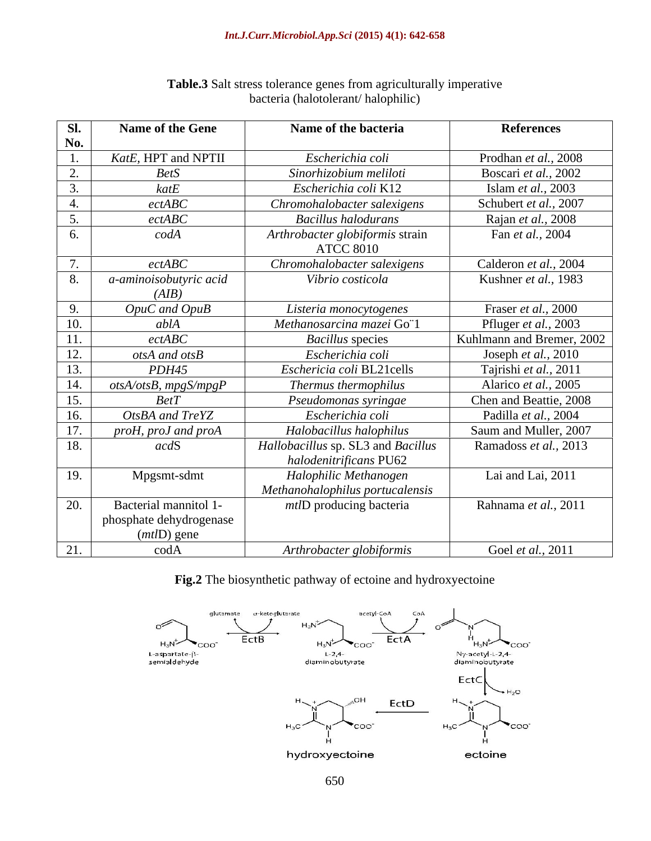| Sl.            | Name of the Gene        | Name of the bacteria               | <b>References</b>         |
|----------------|-------------------------|------------------------------------|---------------------------|
| No.            |                         |                                    |                           |
|                | KatE, HPT and NPTII     | Escherichia coli                   | Prodhan et al., 2008      |
| 2.             | <b>BetS</b>             | Sinorhizobium meliloti             | Boscari et al., 2002      |
| 3.             | $k$ at $E$              | Escherichia coli K12               | Islam et al., 2003        |
| 4.             | ectABC                  | Chromohalobacter salexigens        | Schubert et al., 2007     |
| 5.             | ectABC                  | <b>Bacillus halodurans</b>         | Rajan et al., 2008        |
| 6.             | codA                    | Arthrobacter globiformis strain    | Fan <i>et al.</i> , 2004  |
|                |                         | <b>ATCC 8010</b>                   |                           |
| 7.             | ect ABC                 | Chromohalobacter salexigens        | Calderon et al., 2004     |
| 8 <sup>2</sup> | a-aminoisobutyric acid  | Vibrio costicola                   | Kushner et al., 1983      |
|                | (AIB)                   |                                    |                           |
| 9.             | OpuC and OpuB           | Listeria monocytogenes             | Fraser et al., 2000       |
| 10.            | ablA                    | Methanosarcina mazei Go"1          | Pfluger et al., 2003      |
| 11.            | ect ABC                 | <b>Bacillus</b> species            | Kuhlmann and Bremer, 2002 |
| $\vert$ 12.    | otsA and otsB           | Escherichia coli                   | Joseph et al., 2010       |
| 13.            | PDH45                   | Eschericia coli BL21cells          | Tajrishi et al., 2011     |
| 14.            | otsA/otsB, mpgS/mpgP    | Thermus thermophilus               | Alarico et al., 2005      |
| 15.            | BetT                    | Pseudomonas syringae               | Chen and Beattie, 2008    |
| 16.            | OtsBA and TreYZ         | Escherichia coli                   | Padilla et al., 2004      |
| 17.            | proH, proJ and proA     | Halobacillus halophilus            | Saum and Muller, 2007     |
| 18.            | acdS                    | Hallobacillus sp. SL3 and Bacillus | Ramadoss et al., 2013     |
|                |                         | halodenitrificans PU62             |                           |
| 19.            | Mpgsmt-sdmt             | Halophilic Methanogen              | Lai and Lai, 2011         |
|                |                         | Methanohalophilus portucalensis    |                           |
| 20.            | Bacterial mannitol 1-   | <i>mtlD</i> producing bacteria     | Rahnama et al., 2011      |
|                | phosphate dehydrogenase |                                    |                           |
|                | $(mtID)$ gene           |                                    |                           |
| 21.            | $\text{cod}A$           | Arthrobacter globiformis           | Goel et al., 2011         |

## **Table.3** Salt stress tolerance genes from agriculturally imperative bacteria (halotolerant/ halophilic)

**Fig.2** The biosynthetic pathway of ectoine and hydroxyectoine

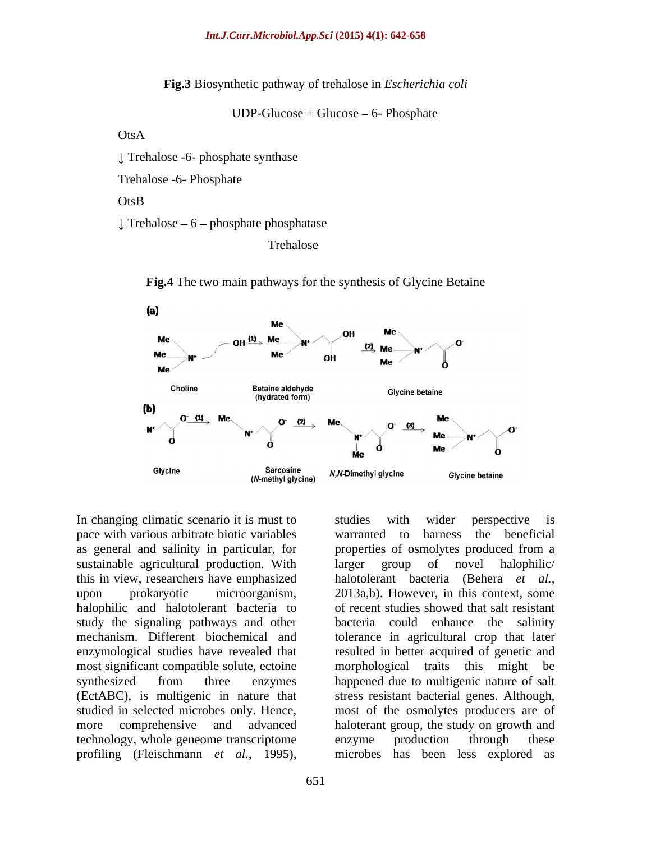**Fig.3** Biosynthetic pathway of trehalose in *Escherichia coli*

 $UDP-Glucose + Glucose - 6- Phosphate$ 

## OtsA

Trehalose -6- phosphate synthase

Trehalose -6- Phosphate

## OtsB

 $\perp$  Trehalose – 6 – phosphate phosphatase

Trehalose



**Fig.4** The two main pathways for the synthesis of Glycine Betaine

In changing climatic scenario it is must to studies with wider perspective is pace with various arbitrate biotic variables sustainable agricultural production. With larger group of novel halophilic/ halophilic and halotolerant bacteria to most significant compatible solute, ectoine morphological traits this might be technology, whole geneome transcriptome

as general and salinity in particular, for properties of osmolytes produced from a this in view, researchers have emphasized halotolerant bacteria (Behera *et al.,* upon prokaryotic microorganism, 2013a,b). However, in this context, some study the signaling pathways and other bacteria could enhance the salinity mechanism. Different biochemical and tolerance in agricultural crop that later enzymological studies have revealed that resulted in better acquired of genetic and synthesized from three enzymes happened due to multigenic nature of salt (EctABC), is multigenic in nature that stress resistant bacterial genes. Although, studied in selected microbes only. Hence, most of the osmolytes producers are of more comprehensive and advanced haloterant group, the study on growth and In changing climatic scenario it is must to<br>studies with wider perspective is<br>as general and salinity in particular, for<br>properties of osmolytes produced from a<br>sustainable agricultural production. With larger group of nov warranted to harness the beneficial larger group of novel halophilic/ of recent studies showed that salt resistant morphological traits this might enzyme production through these microbes has been less explored as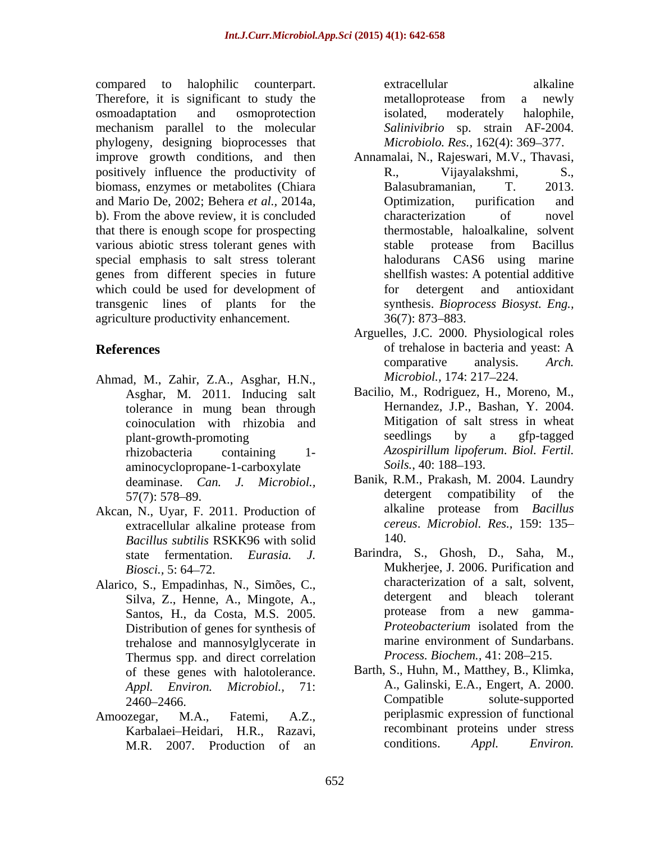compared to halophilic counterpart. Therefore, it is significant to study the metalloprotease from a newly osmoadaptation and osmoprotection mechanism parallel to the molecular phylogeny, designing bioprocesses that improve growth conditions, and then Annamalai, N., Rajeswari, M.V., Thavasi, positively influence the productivity of R., Vijayalakshmi, S., biomass, enzymes or metabolites (Chiara Balasubramanian, T. 2013. and Mario De, 2002; Behera *et al.,* 2014a, b). From the above review, it is concluded characterization of novel that there is enough scope for prospecting various abiotic stress tolerant genes with stable protease from Bacillus special emphasis to salt stress tolerant genes from different species in future which could be used for development of for detergent and antioxidant transgenic lines of plants for the agriculture productivity enhancement. 36(7): 873–883.

- Ahmad, M., Zahir, Z.A., Asghar, H.N., *Microbiol.*, 174: 217–224.<br>Asghar, M. 2011. Inducing salt Bacilio, M., Rodriguez, H., Moreno, M., tolerance in mung bean through plant-growth-promoting aminocyclopropane-1-carboxylate Soils., 40: 188–193.
- *Bacillus subtilis* RSKK96 with solid
- Alarico, S., Empadinhas, N., Simões, C.,<br>Silva Z. Henne A. Minoote A. Alarico detergent and bleach tolerant Distribution of genes for synthesis of trehalose and mannosylglycerate in Thermus spp. and direct correlation of these genes with halotolerance.
- M.R. 2007. Production of an conditions. Appl. Environ.

extracellular alkaline metalloprotease from a newly isolated, moderately halophile, *Salinivibrio* sp. strain AF-2004. *Microbiolo. Res.,* 162(4): 369–377.

- R., Vijayalakshmi, S., Balasubramanian, Optimization, purification and characterization of novel thermostable, haloalkaline, solvent stable protease from Bacillus halodurans CAS6 using marine shellfish wastes: A potential additive for detergent and antioxidant synthesis. *Bioprocess Biosyst. Eng.,*  $36(7)$ : 873–883.
- **References** of trehalose in bacteria and yeast: A comparative analysis. Arch. Arguelles, J.C. 2000. Physiological roles of trehalose in bacteria and yeast: A comparative analysis. *Arch. Microbiol., 174: 217–224.* 
	- coinoculation with rhizobia and **Mitigation of salt stress in wheat**<br>nlant-growth-promoting seedlings by a gfp-tagged rhizobacteria containing 1- *Azospirillum lipoferum*. *Biol. Fertil.* Bacilio, M., Rodriguez, H., Moreno, M., Hernandez, J.P., Bashan, Y. 2004. Mitigation of salt stress in wheat seedlings by a gfp-tagged *Soils.*, 40: 188–193.
- deaminase. *Can. J. Microbiol.*, Banik, R.M., Prakash, M. 2004. Laundry<br>57(7): 578, 89 57(7): 578–89. detergent compatibility of the Akcan, N., Uyar, F. 2011. Production of alkaline protease from Bacillus extracellular alkaline protease from *cereus. Microbiol. Res.*, 159: 135– Banik, R.M., Prakash, M. 2004. Laundry detergent compatibility of alkaline protease from *Bacillus cereus*. *Microbiol. Res.,* 159: 135 140.
	- state fermentation. *Eurasia. J.* Barindra, S., Ghosh, D., Saha, M., Biosci., 5: 64–72. Silva, Z., Henne, A., Mingote, A., and detergent and bleach tolerant<br>Santos H da Costa M S 2005 brotease from a new gamma-Santos, H., da Costa, M.S. 2005. The protease from a new gamma-<br>Distribution of genes for synthesis of *Proteobacterium* isolated from the characterization of a salt, solvent, detergent and bleach tolerant protease from a new gamma- *Proteobacterium* isolated from the marine environment of Sundarbans. *Process. Biochem., 41: 208-215.*
- *Appl. Environ. Microbiol.,* 71: A., Galinski, E.A., Engert, A. 2000. 2460–2466. Compatible solute-supported Amoozegar, M.A., Fatemi, A.Z., periplasmic expression of functional Karbalaei Heidari, H.R., Razavi, recombinant proteins under stress Barth, S., Huhn, M., Matthey, B., Klimka, Compatible solute-supported conditions. *Appl. Environ.*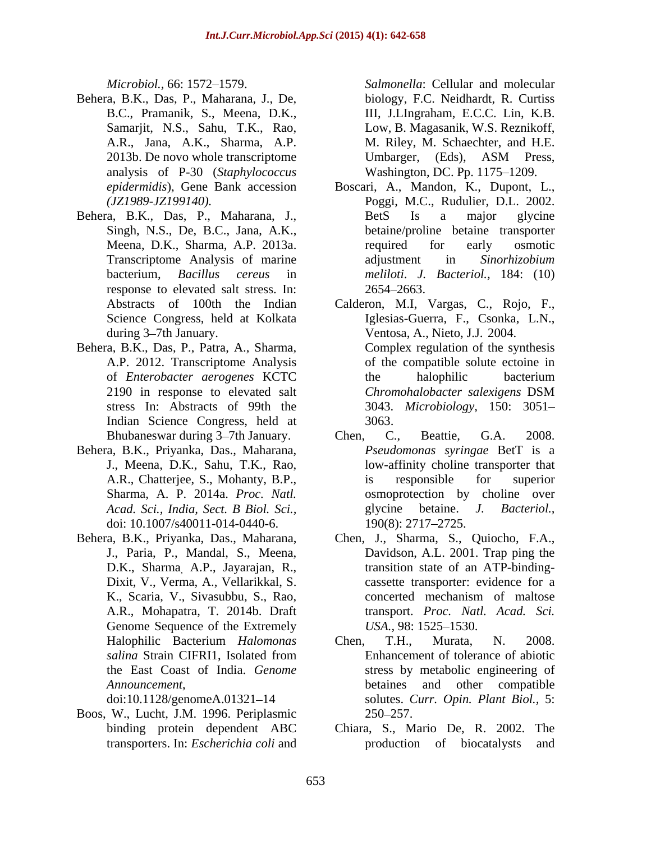- Behera, B.K., Das, P., Maharana, J., De, 2013b. De novo whole transcriptome<br>
Umbarger, (Eds), ASM Press, analysis of P-30 (*Staphylococcus*
- response to elevated salt stress. In:  $2654-2663$ .
- Behera, B.K., Das, P., Patra, A., Sharma, Indian Science Congress, held at 3063.
- Behera, B.K., Priyanka, Das., Maharana, J., Meena, D.K., Sahu, T.K., Rao, doi: 10.1007/s40011-014-0440-6. 190(8): 2717–2725.
- Behera, B.K., Priyanka, Das., Maharana, Chen, J., Sharma, S., Quiocho, F.A., A.R., Mohapatra, T. 2014b. Draft Genome Sequence of the Extremely USA, 98: 1525–1530.

Boos, W., Lucht, J.M. 1996. Periplasmic

*Microbiol.,* 66: 1572 1579. *Salmonella*: Cellular and molecular B.C., Pramanik, S., Meena, D.K., III, J.LIngraham, E.C.C. Lin, K.B. Samarjit, N.S., Sahu, T.K., Rao, Low, B. Magasanik, W.S. Reznikoff, A.R., Jana, A.K., Sharma, A.P. M. Riley, M. Schaechter, and H.E. biology, F.C. Neidhardt, R. Curtiss Umbarger, (Eds), ASM Press, Washington, DC. Pp. 1175–1209.

- *epidermidis*), Gene Bank accession Boscari, A., Mandon, K., Dupont, L., *(JZ1989-JZ199140).* Poggi, M.C., Rudulier, D.L. 2002. Behera, B.K., Das, P., Maharana, J., Singh, N.S., De, B.C., Jana, A.K., betaine/proline betaine transporter Meena, D.K., Sharma, A.P. 2013a. Transcriptome Analysis of marine adjustment in Sinorhizobium bacterium, *Bacillus cereus* in *meliloti*. *J. Bacteriol.,* 184: (10) BetS Is a major glycine required for early osmotic adjustment in *Sinorhizobium*  2654 2663.
	- Abstracts of 100th the Indian Calderon, M.I, Vargas, C., Rojo, F., Science Congress, held at Kolkata Iglesias-Guerra, F., Csonka, L.N., during 3 7th January. Ventosa, A., Nieto, J.J. 2004. A.P. 2012. Transcriptome Analysis of the compatible solute ectoine in of *Enterobacter aerogenes* KCTC 2190 in response to elevated salt *Chromohalobacter salexigens* DSM stress In: Abstracts of 99th the 3043. *Microbiology,* 150: 3051 Complex regulation of the synthesis the halophilic bacterium 3063.
	- Bhubaneswar during 3–7th January. Chen, C., Beattie, G.A. 2008. A.R., Chatterjee, S., Mohanty, B.P., Sharma, A. P. 2014a. *Proc. Natl.* osmoprotection by choline over *Acad. Sci., India, Sect. B Biol. Sci.,* Chen, C., Beattie, G.A. 2008. *Pseudomonas syringae* BetT is a low-affinity choline transporter that is responsible for superior glycine betaine. *J. Bacteriol.,* 190(8): 2717 2725.
	- J., Paria, P., Mandal, S., Meena, Davidson, A.L. 2001. Trap ping the D.K., Sharma, A.P., Jayarajan, R., transition state of an ATP-binding-Dixit, V., Verma, A., Vellarikkal, S. cassette transporter: evidence for a K., Scaria, V., Sivasubbu, S., Rao, concerted mechanism of maltose transport. *Proc. Natl. Acad. Sci. USA.,* 98: 1525–1530.
	- Halophilic Bacterium *Halomonas salina* Strain CIFRI1, Isolated from the East Coast of India. *Genome*  stress by metabolic engineering of *Announcement*,<br>doi:10.1128/genomeA.01321–14 betaines and other compatible<br>solutes. Curr. Opin. Plant Biol., 5: Chen, T.H., Murata, N. 2008. Enhancement of tolerance of abiotic betaines and other compatible solutes. *Curr. Opin. Plant Biol.,* 5: 250 257.
	- binding protein dependent ABC Chiara, S., Mario De, R. 2002. The transporters. In: *Escherichia coli* and production of biocatalysts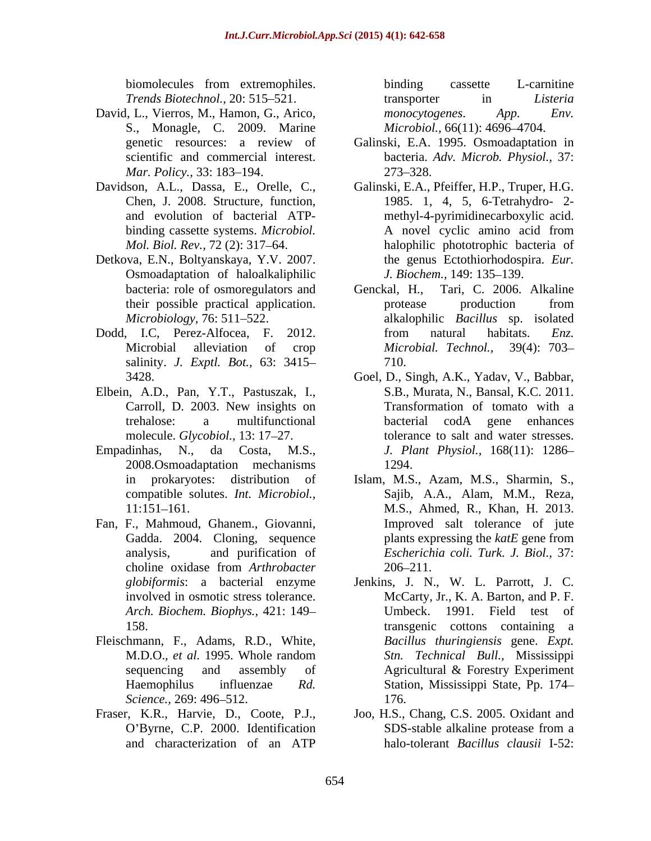*Trends Biotechnol.,* 20: 515–521. **Trends Biotechnol.**, 20: 515–521. **Trends** *Sisteria* 

- David, L., Vierros, M., Hamon, G., Arico, *monocytogenes. App. Env.* S., Monagle, C. 2009. Marine
- 
- Detkova, E.N., Boltyanskaya, Y.V. 2007. Osmoadaptation of haloalkaliphilic
- salinity. *J. Exptl. Bot.,* 63: 3415
- Elbein, A.D., Pan, Y.T., Pastuszak, I.,
- 2008.Osmoadaptation mechanisms
- Fan, F., Mahmoud, Ghanem., Giovanni, Gadda. 2004. Cloning, sequence *Arch. Biochem. Biophys.,* 421: 149
- Fleischmann, F., Adams, R.D., White,
- 

biomolecules from extremophiles. binding cassette L-carnitine transporter in *Listeria monocytogenes*. *App. Env. Microbiol.,* 66(11): 4696-4704.

- genetic resources: a review of Galinski, E.A. 1995. Osmoadaptation in scientific and commercial interest. bacteria. *Adv. Microb. Physiol.,* 37: *Mar. Policy.,* 33: 183–194. 273–328. 273–328.
- Davidson, A.L., Dassa, E., Orelle, C., Galinski, E.A., Pfeiffer, H.P., Truper, H.G. Chen, J. 2008. Structure, function, 1985. 1, 4, 5, 6-Tetrahydro- 2 and evolution of bacterial ATP- methyl-4-pyrimidinecarboxylic acid. binding cassette systems. *Microbiol*. A novel cyclic amino acid from *Mol. Biol. Rev.,* 72 (2): 317 64. halophilic phototrophic bacteria of A novel cyclic amino acid from the genus Ectothiorhodospira. *Eur. J. Biochem.,* 149: 135-139.
- bacteria: role of osmoregulators and Genckal, H., Tari, C. 2006. Alkaline their possible practical application. *Microbiology,* 76: 511 522. alkalophilic *Bacillus* sp. isolated Dodd, I.C. Perez-Alfocea, F. 2012. from natural habitats. *Enz.* Microbial alleviation of crop *Microbial. Technol.*, 39(4): 703– Genckal, H., Tari, C. 2006. Alkaline protease production from from natural habitats. *Enz. Microbial. Technol.,* 39(4): 703 710.
- 3428. Goel, D., Singh, A.K., Yadav, V., Babbar, Carroll, D. 2003. New insights on trehalose: a multifunctional molecule. *Glycobiol.*, 13: 17–27. tolerance to salt and water stresses. Empadinhas, N., da Costa, M.S., *J. Plant Physiol.,* 168(11): 1286 S.B., Murata, N., Bansal, K.C. 2011. Transformation of tomato with a bacterial codA gene enhances 1294.
	- in prokaryotes: distribution of Islam, M.S., Azam, M.S., Sharmin, S., compatible solutes. *Int. Microbiol.,* Sajib, A.A., Alam, M.M., Reza, 11:151 161. M.S., Ahmed, R., Khan, H. 2013. analysis, and purification of *Escherichia coli. Turk. J. Biol.,* 37: choline oxidase from *Arthrobacter*  Improved salt tolerance of jute plants expressing the *katE* gene from  $206 - 211$ .
	- *globiformis*: a bacterial enzyme Jenkins, J. N., W. L. Parrott, J. C. involved in osmotic stress tolerance. McCarty, Jr., K. A. Barton, and P. F. 158. transgenic cottons containing a M.D.O., *et al.* 1995. Whole random sequencing and assembly of Agricultural & Forestry Experiment Haemophilus influenzae *Rd.*  Station, Mississippi State, Pp. 174 *Science.,* 269: 496–512. 176. Umbeck. 1991. Field test of *Bacillus thuringiensis* gene. *Expt. Stn. Technical Bull.,* Mississippi Agricultural & Forestry Experiment 176.
- Fraser, K.R., Harvie, D., Coote, P.J., Joo, H.S., Chang, C.S. 2005. Oxidant and O Byrne, C.P. 2000. Identification and characterization of an ATP halo-tolerant *Bacillus clausii* I-52: SDS-stable alkaline protease from a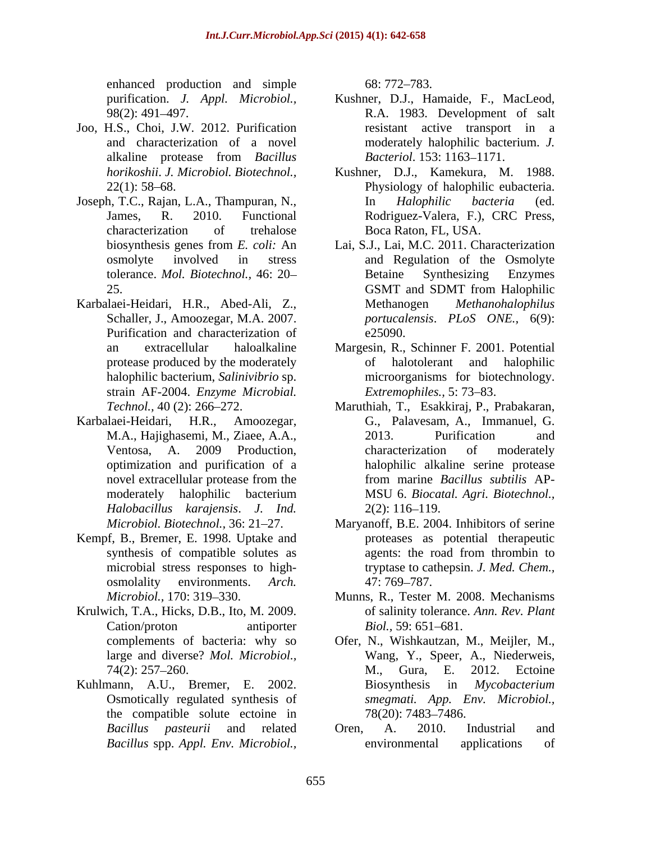enhanced production and simple 68: 772–783.

- Joo, H.S., Choi, J.W. 2012. Purification
- Joseph, T.C., Rajan, L.A., Thampuran, N., *In Halophilic bacteria* (ed.
- Karbalaei-Heidari, H.R., Abed-Ali, Z., Purification and characterization of e25090. strain AF-2004. *Enzyme Microbial.*
- Karbalaei-Heidari, H.R., Amoozegar, *Halobacillus karajensis*. *J. Ind.*
- Kempf, B., Bremer, E. 1998. Uptake and osmolality environments. *Arch.*
- Krulwich, T.A., Hicks, D.B., Ito, M. 2009.
- the compatible solute ectoine in  $78(20)$ : 7483–7486.

68: 772 783.

- purification. *J. Appl. Microbiol.*, Kushner, D.J., Hamaide, F., MacLeod, 98(2): 491 497. R.A. 1983. Development of salt and characterization of a novel moderately halophilic bacterium. *J.*  alkaline protease from *Bacillus*  resistant active transport in a *Bacteriol.* 153: 1163–1171.
- *horikoshii*. *J. Microbiol. Biotechnol.,* Kushner, D.J., Kamekura, M. 1988. 22(1): 58 68. Physiology of halophilic eubacteria. James, R. 2010. Functional Rodriguez-Valera, F.), CRC Press, characterization of trehalose Boca Raton, FL, USA. In *Halophilic bacteria* (ed. Rodriguez-Valera, F.), CRC Press, Boca Raton, FL, USA.
- biosynthesis genes from *E. coli:* An Lai, S.J., Lai, M.C. 2011. Characterization osmolyte involved in stress and Regulation of the Osmolyte tolerance. *Mol. Biotechnol.,* 46: 20 25. **CONT** and SDMT from Halophilic Schaller, J., Amoozegar, M.A. 2007. *portucalensis*. *PLoS ONE.,* 6(9): Betaine Synthesizing Enzymes GSMT and SDMT from Halophilic  $Methodo$ *philus*  $e25090.$
- an extracellular haloalkaline Margesin, R., Schinner F. 2001. Potential protease produced by the moderately of halotolerant and halophilic halophilic bacterium, *Salinivibrio* sp. microorganisms for biotechnology. of halotolerant and halophilic *Extremophiles.,* 5: 73–83.
- *Technol.*, 40 (2): 266–272. Maruthiah, T., Esakkiraj, P., Prabakaran, Ilaei-Heidari, H.R., Amoozegar, G., Palavesam, A., Immanuel, G. M.A., Hajighasemi, M., Ziaee, A.A., Ventosa, A. 2009 Production, optimization and purification of a halophilic alkaline serine protease novel extracellular protease from the from marine *Bacillus subtilis* APmoderately halophilic bacterium MSU 6. Biocatal. Agri. Biotechnol., 2013. Purification and characterization of moderately from marine *Bacillus subtilis* AP- MSU 6. *Biocatal. Agri. Biotechnol.,*  $2(2): 116-119.$
- *Microbiol. Biotechnol.,* 36: 21–27. Maryanoff, B.E. 2004. Inhibitors of serine synthesis of compatible solutes as agents: the road from thrombin to microbial stress responses to high- tryptase to cathepsin. *J. Med. Chem.,* proteases as potential therapeutic agents: the road from thrombin to 47: 769–787.
- *Microbiol.,* 170: 319 330. Munns, R., Tester M. 2008. Mechanisms Cation/proton antiporter *Biol.*, 59: 651–681. of salinity tolerance. *Ann. Rev. Plant Biol.,* 59: 651–681.
- complements of bacteria: why so Ofer, N., Wishkautzan, M., Meijler, M., large and diverse? *Mol. Microbiol.,* Wang, Y., Speer, A., Niederweis, 74(2): 257–260. M., Gura, E. 2012. Ectoine Kuhlmann, A.U., Bremer, E. 2002. Biosynthesis in Mycobacterium Osmotically regulated synthesis of *smegmati. App. Env. Microbiol.,* M., Gura, E. 2012. Ectoine Biosynthesis in *Mycobacterium*  78(20): 7483–7486.
	- *Bacillus pasteurii* and related *Bacillus* spp. *Appl. Env. Microbiol.,* Oren, A. 2010. Industrial and environmental applications of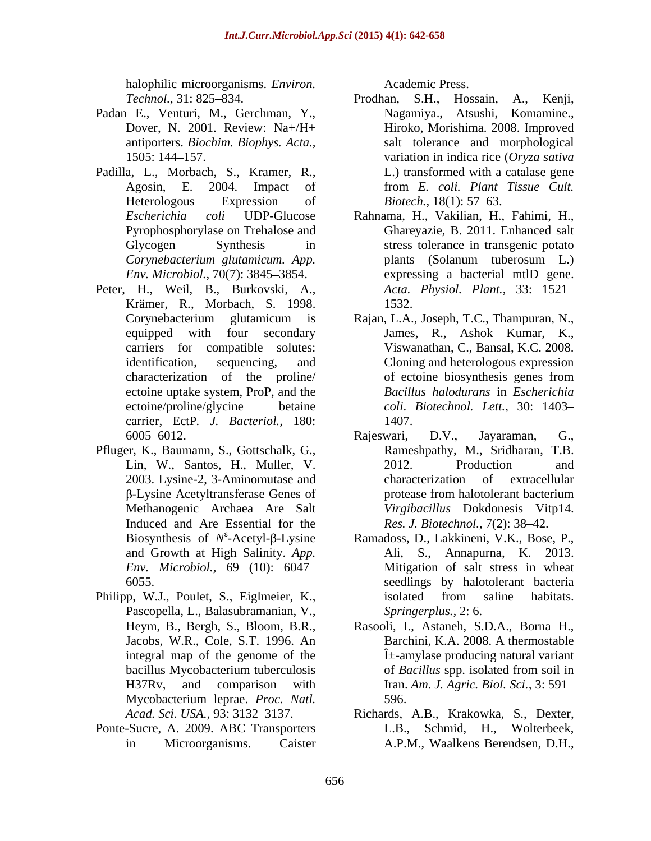halophilic microorganisms. *Environ.* 

- 
- Padilla, L., Morbach, S., Kramer, R.,
- Peter, H., Weil, B., Burkovski, A., Krämer, R., Morbach, S. 1998. carrier, EctP*. J. Bacteriol.,* 180:
- Pfluger, K., Baumann, S., Gottschalk, G.,
- Philipp, W.J., Poulet, S., Eiglmeier, K., isolated from saline habitats. Pascopella, L., Balasubramanian, V., Mycobacterium leprae. *Proc. Natl.*
- 

Academic Press.

- *Technol.,* 31: 825 834. Prodhan, S.H., Hossain, A., Kenji, Padan E., Venturi, M., Gerchman, Y., Nagamiya., Atsushi, Komamine., Dover, N. 2001. Review: Na+/H+ Hiroko, Morishima. 2008. Improved antiporters. *Biochim. Biophys. Acta.,* salt tolerance and morphological 1505: 144 157. variation in indica rice (*Oryza sativa* Agosin, E. 2004. Impact of from *E. coli. Plant Tissue Cult.* Heterologous Expression of *Biotech.*, 18(1): 57–63. L.) transformed with a catalase gene *Biotech.,* 18(1): 57–63.
	- *Escherichia coli* UDP-Glucose Rahnama, H., Vakilian, H., Fahimi, H., Pyrophosphorylase on Trehalose and Ghareyazie, B. 2011. Enhanced salt Glycogen Synthesis in stress tolerance in transgenic potato *Corynebacterium glutamicum. App. Env. Microbiol.,* 70(7): 3845–3854. expressing a bacterial mtlD gene. plants (Solanum tuberosum L.) expressing a bacterial mtlD gene. *Acta. Physiol. Plant.,* 33: 1521 1532.
	- Corynebacterium glutamicum is Rajan, L.A., Joseph, T.C., Thampuran, N., equipped with four secondary James, R., Ashok Kumar, K., carriers for compatible solutes: Viswanathan, C., Bansal, K.C. 2008. identification, sequencing, and Cloning and heterologous expression characterization of the proline/ ectoine uptake system, ProP, and the *Bacillus halodurans* in *Escherichia*  ectoine/proline/glycine betaine *coli*. *Biotechnol. Lett.,* 30: 1403 of ectoine biosynthesis genes from 1407.
	- 6005–6012. Rajeswari, D.V., Jayaraman, G., Lin, W., Santos, H., Muller, V. 2003. Lysine-2, 3-Aminomutase and β-Lysine Acetyltransferase Genes of protease from halotolerant bacterium Methanogenic Archaea Are Salt *Virgibacillus* Dokdonesis Vitp14. Induced and Are Essential for the Res. *J. Biotechnol.*, 7(2): 38–42. Rajeswari, D.V., Jayaraman, G., Rameshpathy, M., Sridharan, T.B. 2012. Production and characterization of extracellular protease from halotolerant bacterium
	- Biosynthesis of *N*<sup>ε</sup>-Acetyl-β-Lysine Ramadoss, D., Lakkineni, V.K., Bose, P., and Growth at High Salinity. *App*. Ali, S., Annapurna, K. 2013. and Growth at High Salinity. *App*. Ali, S., Annapurna, K. 2013. *Env. Microbiol.*, 69 (10): 6047– **Mitigation of salt stress in wheat** 6055. seedlings by halotolerant bacteria isolated from saline habitats. *Springerplus.,* 2: 6.
	- Heym, B., Bergh, S., Bloom, B.R., Rasooli, I., Astaneh, S.D.A., Borna H., Jacobs, W.R., Cole, S.T. 1996. An integral map of the genome of the  $\hat{I}$  +-amylase producing natural variant bacillus Mycobacterium tuberculosis of Bacillus spp. isolated from soil in H37Rv, and comparison with Iran. *Am. J. Agric. Biol. Sci.,* 3: 591 Barchini, K.A. 2008. A thermostable of *Bacillus* spp. isolated from soil in 596.
- Acad. Sci. USA., 93: 3132–3137. **Richards, A.B., Krakowka, S., Dexter**, Ponte-Sucre, A. 2009. ABC Transporters L.B., Schmid, H., Wolterbeek, in Microorganisms. Caister A.P.M., Waalkens Berendsen, D.H.,L.B., Schmid, H.,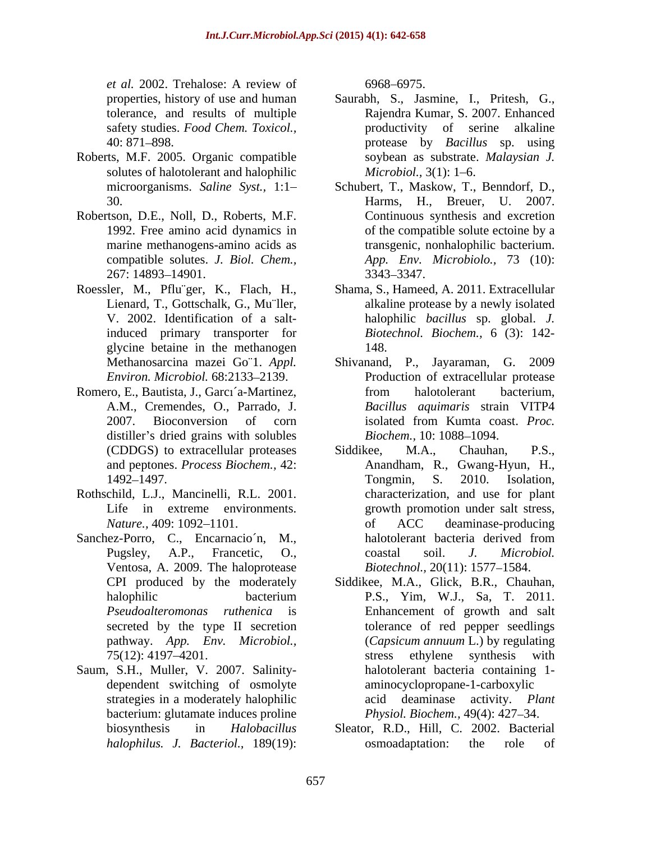*et al.* 2002. Trehalose: A review of

- Roberts, M.F. 2005. Organic compatible solutes of halotolerant and halophilic *Microbiol.*, 3(1): 1–6.
- Robertson, D.E., Noll, D., Roberts, M.F. 1992. Free amino acid dynamics in
- Roessler, M., Pflu¨ger, K., Flach, H., glycine betaine in the methanogen
- Romero, E., Bautista, J., García-Martinez, from halotolerant bacterium, distiller's dried grains with solubles *Biochem.*, 10: 1088–1094.
- Rothschild, L.J., Mancinelli, R.L. 2001.
- Ventosa, A. 2009. The haloprotease
- Saum, S.H., Muller, V. 2007. Salinity dependent switching of osmolyte strategies in a moderately halophilic bacterium: glutamate induces proline

6968 6975.

- properties, history of use and human Saurabh, S., Jasmine, I., Pritesh, G., tolerance, and results of multiple Rajendra Kumar, S. 2007. Enhanced safety studies. *Food Chem. Toxicol.*, **productivity** of serine alkaline 40: 871 898. protease by *Bacillus* sp. using soybean as substrate. *Malaysian J. Microbiol.,* 3(1): 1–6.
- microorganisms. *Saline Syst.,* 1:1 Schubert, T., Maskow, T., Benndorf, D., 30. Harms, H., Breuer, U. 2007. marine methanogens-amino acids as transgenic, nonhalophilic bacterium. compatible solutes. *J. Biol. Chem., App. Env. Microbiolo.,* 73 (10): 267: 14893 14901. Continuous synthesis and excretion of the compatible solute ectoine by a 3343 3347.
- Lienard, T., Gottschalk, G., Mu¨ller, alkaline protease by a newly isolated V. 2002. Identification of a salt-halophilic *bacillus* sp. global. *J.*  induced primary transporter for *Biotechnol. Biochem.,* 6 (3): 142- Shama, S., Hameed, A. 2011. Extracellular 148.
- Methanosarcina mazei Go¨1. *Appl.*  Shivanand, P., Jayaraman, G. 2009 *Environ. Microbiol.* 68:2133–2139. **Production of extracellular protease** A.M., Cremendes, O., Parrado, J. *Bacillus aquimaris* strain VITP4 2007. Bioconversion of corn isolated from Kumta coast. Proc. from halotolerant bacterium, isolated from Kumta coast. *Proc. Biochem.,* 10: 1088–1094.
- (CDDGS) to extracellular proteases Siddikee, M.A., Chauhan, P.S., and peptones. *Process Biochem.,* 42: Anandham, R., Gwang-Hyun, H., 1492 1497. Life in extreme environments. growth promotion under salt stress, *Nature.*, 409: 1092–1101. The of ACC deaminase-producing Sanchez-Porro, C., Encarnacio n, M., halotolerant bacteria derived from Pugsley, A.P., Francetic, O., coastal soil. *J. Microbiol.* Siddikee, M.A., Chauhan, P.S., Tongmin, S. 2010. Isolation, characterization, and use for plant of ACC deaminase-producing halotolerant bacteria derived from coastal soil. *J. Microbiol. Biotechnol., 20(11): 1577-1584.* 
	- CPI produced by the moderately Siddikee, M.A., Glick, B.R., Chauhan, halophilic bacterium P.S., Yim, W.J., Sa, T. 2011. *Pseudoalteromonas ruthenica* is Enhancement of growth and salt secreted by the type II secretion tolerance of red pepper seedlings pathway. *App. Env. Microbiol.,* (*Capsicum annuum* L.) by regulating 75(12): 4197–4201. Stress ethylene synthesis with P.S., Yim, W.J., Sa, T. 2011. stress ethylene synthesis with halotolerant bacteria containing 1 aminocyclopropane-1-carboxylic acid deaminase activity. *Plant Physiol. Biochem., 49(4): 427–34.*
	- biosynthesis in *Halobacillus*  Sleator, R.D., Hill, C. 2002. Bacterial *halophilus. J. Bacteriol.,* 189(19): osmoadaptation: the role of